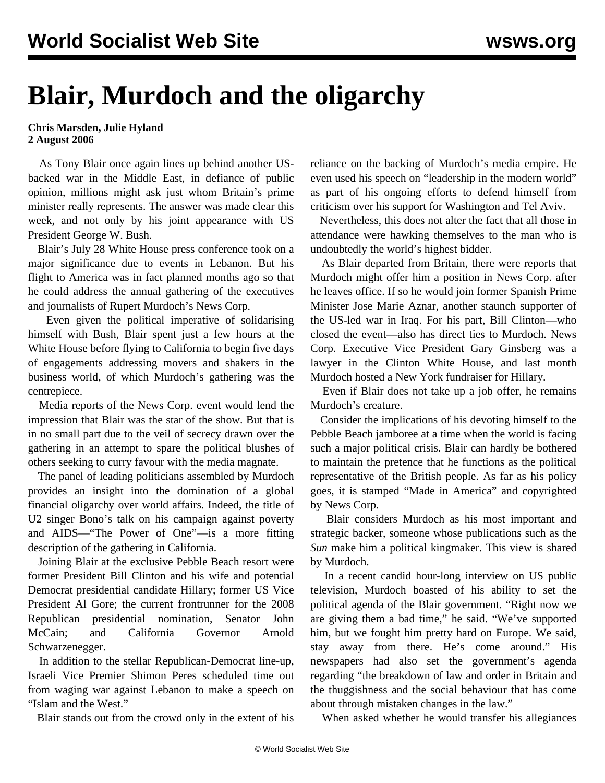## **Blair, Murdoch and the oligarchy**

## **Chris Marsden, Julie Hyland 2 August 2006**

 As Tony Blair once again lines up behind another USbacked war in the Middle East, in defiance of public opinion, millions might ask just whom Britain's prime minister really represents. The answer was made clear this week, and not only by his joint appearance with US President George W. Bush.

 Blair's July 28 White House press conference took on a major significance due to events in Lebanon. But his flight to America was in fact planned months ago so that he could address the annual gathering of the executives and journalists of Rupert Murdoch's News Corp.

 Even given the political imperative of solidarising himself with Bush, Blair spent just a few hours at the White House before flying to California to begin five days of engagements addressing movers and shakers in the business world, of which Murdoch's gathering was the centrepiece.

 Media reports of the News Corp. event would lend the impression that Blair was the star of the show. But that is in no small part due to the veil of secrecy drawn over the gathering in an attempt to spare the political blushes of others seeking to curry favour with the media magnate.

 The panel of leading politicians assembled by Murdoch provides an insight into the domination of a global financial oligarchy over world affairs. Indeed, the title of U2 singer Bono's talk on his campaign against poverty and AIDS—"The Power of One"—is a more fitting description of the gathering in California.

 Joining Blair at the exclusive Pebble Beach resort were former President Bill Clinton and his wife and potential Democrat presidential candidate Hillary; former US Vice President Al Gore; the current frontrunner for the 2008 Republican presidential nomination, Senator John McCain; and California Governor Arnold Schwarzenegger.

 In addition to the stellar Republican-Democrat line-up, Israeli Vice Premier Shimon Peres scheduled time out from waging war against Lebanon to make a speech on "Islam and the West."

Blair stands out from the crowd only in the extent of his

reliance on the backing of Murdoch's media empire. He even used his speech on "leadership in the modern world" as part of his ongoing efforts to defend himself from criticism over his support for Washington and Tel Aviv.

 Nevertheless, this does not alter the fact that all those in attendance were hawking themselves to the man who is undoubtedly the world's highest bidder.

 As Blair departed from Britain, there were reports that Murdoch might offer him a position in News Corp. after he leaves office. If so he would join former Spanish Prime Minister Jose Marie Aznar, another staunch supporter of the US-led war in Iraq. For his part, Bill Clinton—who closed the event—also has direct ties to Murdoch. News Corp. Executive Vice President Gary Ginsberg was a lawyer in the Clinton White House, and last month Murdoch hosted a New York fundraiser for Hillary.

 Even if Blair does not take up a job offer, he remains Murdoch's creature.

 Consider the implications of his devoting himself to the Pebble Beach jamboree at a time when the world is facing such a major political crisis. Blair can hardly be bothered to maintain the pretence that he functions as the political representative of the British people. As far as his policy goes, it is stamped "Made in America" and copyrighted by News Corp.

 Blair considers Murdoch as his most important and strategic backer, someone whose publications such as the *Sun* make him a political kingmaker. This view is shared by Murdoch.

 In a recent candid hour-long interview on US public television, Murdoch boasted of his ability to set the political agenda of the Blair government. "Right now we are giving them a bad time," he said. "We've supported him, but we fought him pretty hard on Europe. We said, stay away from there. He's come around." His newspapers had also set the government's agenda regarding "the breakdown of law and order in Britain and the thuggishness and the social behaviour that has come about through mistaken changes in the law."

When asked whether he would transfer his allegiances